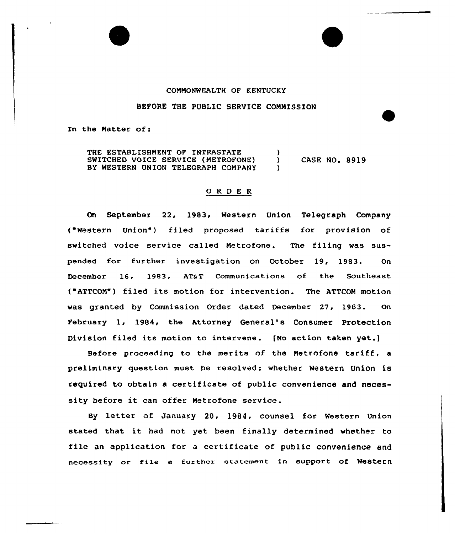## COMMONWEALTH OF KENTUCKY

## BEFORE THE PUBLIC SERVICE COMMISSION

In the Matter of:

THE ESTABLISHMENT OF INTRASTATE SWITCHED VOICE SERVICE (METROFONE) ) CASE NO. 8919 BY WESTERN UNION TELEGRAPH COMPANY

## 0 R <sup>D</sup> <sup>E</sup> <sup>R</sup>

On September 22, 1983, Western Union Telegraph Company ( Western Union ) filed proposed tariffs for provision of switched voice service called Metrofone. The filing was suspended for further investigation on October 19, 1983. On December 16, 1983, AT&T Communications of the Southeast ( ATTCOM") filed its motion for intervention. The ATTCOM motion was granted by Commission Order dated December. 27, 1983. On February 1, 1984, the Attorney General's Consumer Protection Division filed its motion to intervene. [No action taken yet.)

Before proceeding to the merits of the Metrofone tariff, <sup>a</sup> preliminary question must be resolved: whether Western Union is required to obtain a certificate of public convenience and necessity before it can offer Metrofone service.

By letter of January 20, 1984, counsel for Western Union stated that it had not yet been finally determined whether to file an application for a certificate of public convenience and necessity or file a further statement in support of Western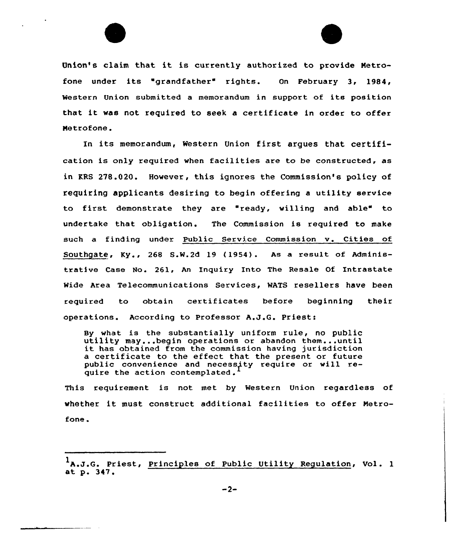

Union's claim that it is currently authorized to provide Metrofone under its "grandfather" rights. On February 3, 1984, Western Union submitted <sup>a</sup> memorandum in support of its position that it was not required to seek <sup>a</sup> certificate in order to offer Metrofone .

In its memorandum, Western Union first argues that certification is only required when facilities are to be constructed, as in KRS 278.020. However, this ignores the Commission's policy of requiring applicants desiring to begin offering a utility service to first demonstrate they are "ready, willing and able" to undertake that obligation. The Commission is required to make such a finding under Public Service Commission v. Cities of SOuthgate, Ky., 268 S.W.2d 19 (1954). As a result of Administrative Case No. 261, An Inquiry Into The Resale Of Intrastate Wide Area Telecommunications Services, WATS resellers have been required to obtain certificates before beginning their operations. According to Professor A,J,G. Priest:

By what is the substantially uniform rule, no public utility may...begin operations or abandon them...until it has obtained from the commission having jurisdiction a certificate to the effect that the present or future public convenience and necessity require or will require the action contemplated.

This requirement is not met by Western Union regardless of whether it must construct additional facilities to offer Metrofone.

<sup>&</sup>lt;sup>1</sup>A.J.G. Priest, Principles of Public Utility Regulation, Vol. 1 at p. 347.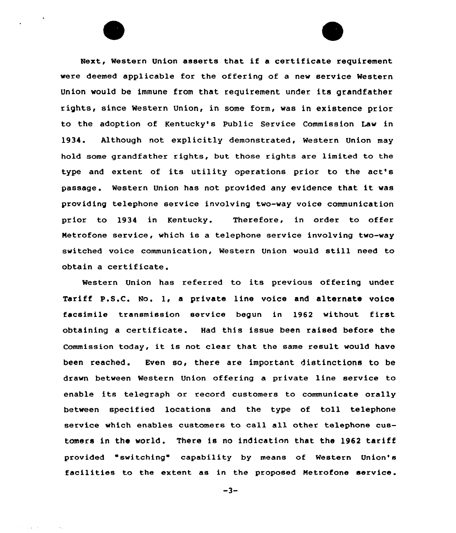Next, Western Union asserts that if <sup>a</sup> certificate requirement were deemed applicable for the offering of a new service Western Union would be immune from that requirement under its grandfather rights, since Western Union, in some form, was in existence prior to the adoption of Kentucky's Public Service Commission Law in 1934. Although not explicitly demonstrated, Western Union may hold some grandfather rights, but those rights are limited to the type and extent of its utility operations prior to the act's passage. Western Union has not provided any evidence that it was providing telephone service involving two-way voice communication prior to 1934 in Kentucky. Therefore, in order to offer Metrofone service, which is a telephone service involving two-way switched voice communication, Western Union would still need to obtain a certificate.

Western Union has referred to its previous offering under Tariff P.S.C. No. 1, <sup>a</sup> private line voice and alternate voice facsimile transmission service begun in 1962 without first obtaining a certificate. Had this issue been raised before the Commission today, it is not clear that the same result would have been reached. Even so, there are important distinctions to be drawn between Western Union offering a private line service to enable its telegraph or record customers to communicate orally between specified locations and the type of toll telephone service which enables customers to call all other telephone customers in the world. There is no indication that the 1962 tariff provided "switching" capability by means of Western Union's facilities to the extent as in the proposed Netrofone service.

 $-3-$ 

a a contra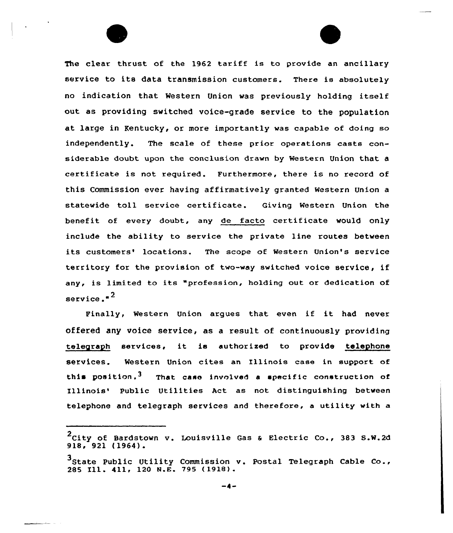The clear thrust of the 1962 tariff is to provide an ancillary service to its data transmission customers. There is absolutely no indication that Western Union was previously holding itself out as providing switched voice-grade service to the population at large in Kentucky, or more importantly was capable of doing so independently. The scale of these prior operations casts considerable doubt upon the conclusion drawn by Western Union that a certificate is not required. Furthermore, there is no record of this Commission ever having affirmatively granted Western Union a statewide toll service certificate. Giving Western Union the benefit of every doubt, any de facto certificate would only include the ability to service the private line routes between its customers' locations. The scope of Western Union's service territory for the provision of two-way switched voice service, if any, is limited to its "profession, holding out or dedication of service."<sup>2</sup>

Finally, Western Union argues that even if it had never offered any voice service, as a result of cont inuously providing telegraph services, it is authorized to provide telephone services. Western Union cites an Illinois case in support of this position.<sup>3</sup> That case involved a specific construction of Illinois' Public Utilities Act as not distinguishing between telephone and telegraph services and therefore, a utility with a

 $2$ City of Bardstown v. Louisville Gas & Electric Co., 383 S.W.2d 918, 921 (1964).

<sup>3&</sup>lt;br>State Public Utility Commission v. Postal Telegraph Cable Co., <sup>3</sup>State Public Utility Commission<br>285 Ill. 411, 120 N.E. 795 (1918).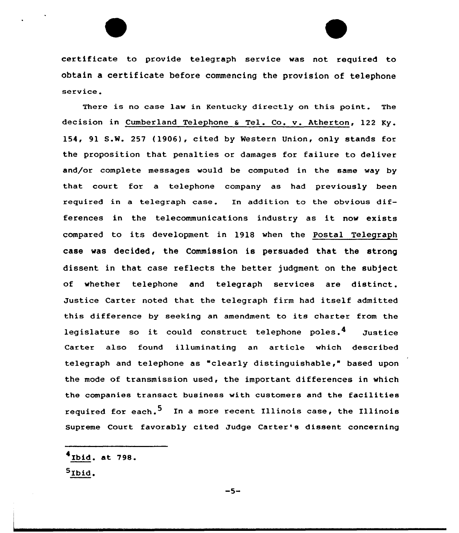certificate to provide telegraph service was not required to obtain a certificate before commencing the provision of telephone service.

There is no case law in Kentucky directly on this point. The decision in Cumberland Telephone & Tel. Co. v. Atherton, 122 Ky. 154, 91 S.W. 257 (1906), cited by Western Union, only stands for the proposition that penalties or damages for failure to deliver and/or complete messages would be computed in the same way by that court for a telephone company as had previously been required in a telegraph case. In addition to the obvious differences in the telecommunications industry as it now exists compared to its development in 1918 when the Postal Telegraph case was decided, the Commission is persuaded that the strong dissent in that case reflects the better judgment on the subject of whether telephone and telegraph services are distinct. Justice Carter noted that the telegraph firm had itself admitted this difference by seeking an amendment to its charter from the legislature so it could construct telephone poles.<sup>4</sup> Justice Carter also found illuminating an article which described telegraph and telephone as "clearly distinguishable," based upon the mode of transmission used, the important differences in which the companies transact business with customers and the facilities required for each.<sup>5</sup> In a more recent Illinois case, the Illinois Supreme Court favorably cited Judge Carter's dissent concerning

Ibid. At 798. 5Ibid.

 $-5-$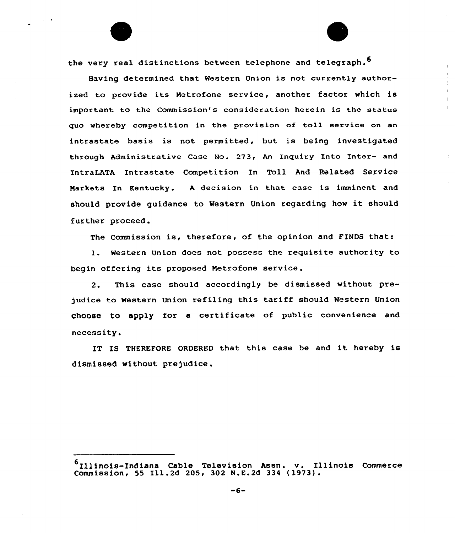the very real distinctions between telephone and telegraph.<sup>6</sup>

 $\sim 10^{-11}$ 

Having determined that Western Union is not currently authorized to provide its Netrofone service, another factor which is important to the Commission's consideration herein is the status quo whereby competition in the provision of toll service on an intrastate basis is not permitted, but is being investigated through Administrative Case No. 273, An Inquiry Into Inter- and IntraLATA Intrastate Competition In Toll And Related Service Narkets In Kentucky. <sup>A</sup> decision in that case is imminent and should provide guidance to Western Union regarding how it should further proceed.

The Commission is, therefore, of the opinion and FINDS thats

1. Western Union does not possess the requisite authority to begin offering its proposed Netrofone service.

2. This case should accordingly be dismissed without prejudice to Western Union refiling this tariff should Western Union choose to apply for <sup>a</sup> certificate of public convenience and necessity.

IT IS THEREFORE ORDERED that this case be and it hereby is dismissed without prejudice.

<sup>6&</sup>lt;br>
Illinois-Indiana Cable Television Assn. v. Illinois Commerc Commission, <sup>55</sup> Ill.2d 205, <sup>302</sup> N.E.2d <sup>334</sup> ( l973) .